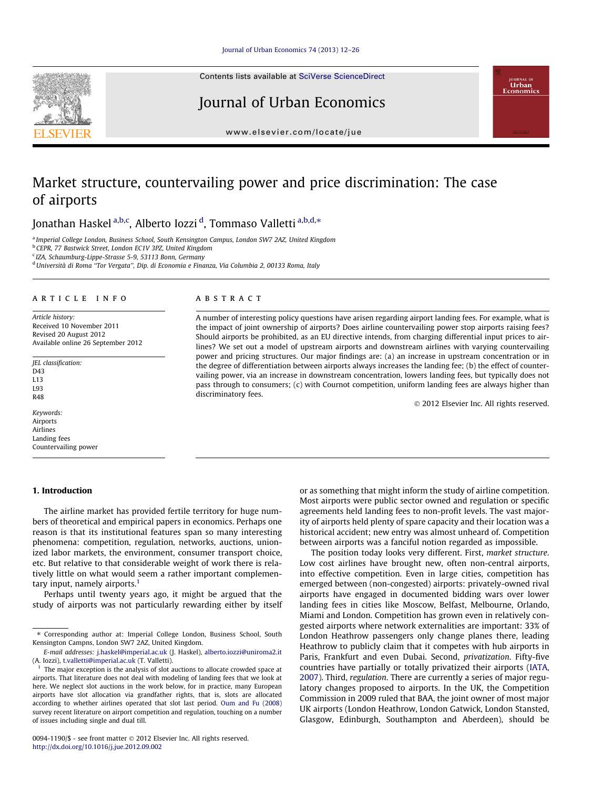Contents lists available at [SciVerse ScienceDirect](http://www.sciencedirect.com/science/journal/00941190)

# Journal of Urban Economics



[www.elsevier.com/locate/jue](http://www.elsevier.com/locate/jue)

# Market structure, countervailing power and price discrimination: The case of airports

Jonathan Haskel <sup>a,b,c</sup>, Alberto Iozzi <sup>d</sup>, Tommaso Valletti <sup>a,b,d,</sup>\*

<sup>a</sup> Imperial College London, Business School, South Kensington Campus, London SW7 2AZ, United Kingdom

<sup>b</sup> CEPR, 77 Bastwick Street, London EC1V 3PZ, United Kingdom

<sup>c</sup> IZA, Schaumburg-Lippe-Strasse 5-9, 53113 Bonn, Germany

<sup>d</sup> Università di Roma "Tor Vergata", Dip. di Economia e Finanza, Via Columbia 2, 00133 Roma, Italy

### article info

Article history: Received 10 November 2011 Revised 20 August 2012 Available online 26 September 2012

JEL classification: D43 L13 L93 R48

Keywords: Airports Airlines Landing fees Countervailing power

## 1. Introduction

# The airline market has provided fertile territory for huge numbers of theoretical and empirical papers in economics. Perhaps one reason is that its institutional features span so many interesting phenomena: competition, regulation, networks, auctions, unionized labor markets, the environment, consumer transport choice, etc. But relative to that considerable weight of work there is relatively little on what would seem a rather important complementary input, namely airports.<sup>1</sup>

Perhaps until twenty years ago, it might be argued that the study of airports was not particularly rewarding either by itself

### **ABSTRACT**

A number of interesting policy questions have arisen regarding airport landing fees. For example, what is the impact of joint ownership of airports? Does airline countervailing power stop airports raising fees? Should airports be prohibited, as an EU directive intends, from charging differential input prices to airlines? We set out a model of upstream airports and downstream airlines with varying countervailing power and pricing structures. Our major findings are: (a) an increase in upstream concentration or in the degree of differentiation between airports always increases the landing fee; (b) the effect of countervailing power, via an increase in downstream concentration, lowers landing fees, but typically does not pass through to consumers; (c) with Cournot competition, uniform landing fees are always higher than discriminatory fees.

- 2012 Elsevier Inc. All rights reserved.

or as something that might inform the study of airline competition. Most airports were public sector owned and regulation or specific agreements held landing fees to non-profit levels. The vast majority of airports held plenty of spare capacity and their location was a historical accident; new entry was almost unheard of. Competition between airports was a fanciful notion regarded as impossible.

The position today looks very different. First, market structure. Low cost airlines have brought new, often non-central airports, into effective competition. Even in large cities, competition has emerged between (non-congested) airports: privately-owned rival airports have engaged in documented bidding wars over lower landing fees in cities like Moscow, Belfast, Melbourne, Orlando, Miami and London. Competition has grown even in relatively congested airports where network externalities are important: 33% of London Heathrow passengers only change planes there, leading Heathrow to publicly claim that it competes with hub airports in Paris, Frankfurt and even Dubai. Second, privatization. Fifty-five countries have partially or totally privatized their airports [\(IATA,](#page--1-0) [2007\)](#page--1-0). Third, regulation. There are currently a series of major regulatory changes proposed to airports. In the UK, the Competition Commission in 2009 ruled that BAA, the joint owner of most major UK airports (London Heathrow, London Gatwick, London Stansted, Glasgow, Edinburgh, Southampton and Aberdeen), should be

<sup>⇑</sup> Corresponding author at: Imperial College London, Business School, South Kensington Campns, London SW7 2AZ, United Kingdom.

E-mail addresses: [j.haskel@imperial.ac.uk](mailto:j.haskel@imperial.ac.uk) (J. Haskel), [alberto.iozzi@uniroma2.it](mailto:alberto.iozzi@uniroma2.it) (A. Iozzi), [t.valletti@imperial.ac.uk](mailto:t.valletti@imperial.ac.uk) (T. Valletti).

 $^{\rm 1}$  The major exception is the analysis of slot auctions to allocate crowded space at airports. That literature does not deal with modeling of landing fees that we look at here. We neglect slot auctions in the work below, for in practice, many European airports have slot allocation via grandfather rights, that is, slots are allocated according to whether airlines operated that slot last period. [Oum and Fu \(2008\)](#page--1-0) survey recent literature on airport competition and regulation, touching on a number of issues including single and dual till.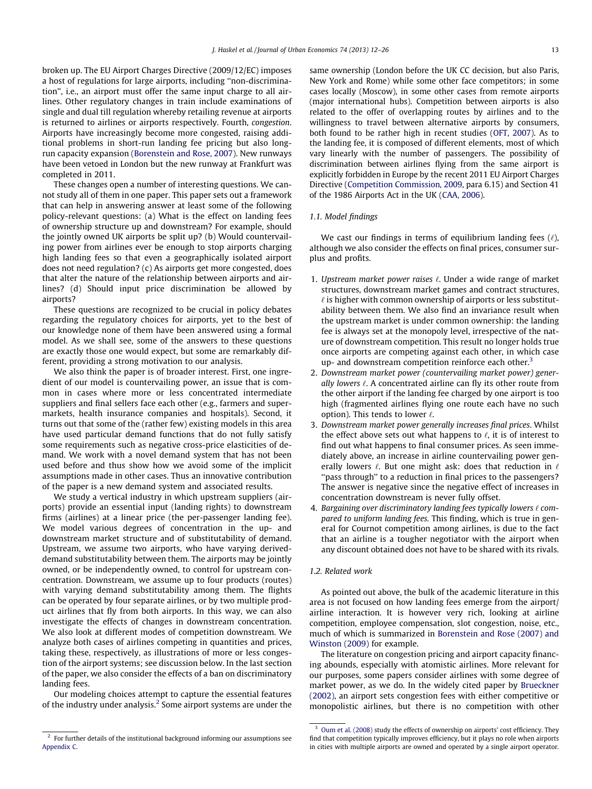broken up. The EU Airport Charges Directive (2009/12/EC) imposes a host of regulations for large airports, including ''non-discrimination'', i.e., an airport must offer the same input charge to all airlines. Other regulatory changes in train include examinations of single and dual till regulation whereby retailing revenue at airports is returned to airlines or airports respectively. Fourth, congestion. Airports have increasingly become more congested, raising additional problems in short-run landing fee pricing but also longrun capacity expansion [\(Borenstein and Rose, 2007](#page--1-0)). New runways have been vetoed in London but the new runway at Frankfurt was completed in 2011.

These changes open a number of interesting questions. We cannot study all of them in one paper. This paper sets out a framework that can help in answering answer at least some of the following policy-relevant questions: (a) What is the effect on landing fees of ownership structure up and downstream? For example, should the jointly owned UK airports be split up? (b) Would countervailing power from airlines ever be enough to stop airports charging high landing fees so that even a geographically isolated airport does not need regulation? (c) As airports get more congested, does that alter the nature of the relationship between airports and airlines? (d) Should input price discrimination be allowed by airports?

These questions are recognized to be crucial in policy debates regarding the regulatory choices for airports, yet to the best of our knowledge none of them have been answered using a formal model. As we shall see, some of the answers to these questions are exactly those one would expect, but some are remarkably different, providing a strong motivation to our analysis.

We also think the paper is of broader interest. First, one ingredient of our model is countervailing power, an issue that is common in cases where more or less concentrated intermediate suppliers and final sellers face each other (e.g., farmers and supermarkets, health insurance companies and hospitals). Second, it turns out that some of the (rather few) existing models in this area have used particular demand functions that do not fully satisfy some requirements such as negative cross-price elasticities of demand. We work with a novel demand system that has not been used before and thus show how we avoid some of the implicit assumptions made in other cases. Thus an innovative contribution of the paper is a new demand system and associated results.

We study a vertical industry in which upstream suppliers (airports) provide an essential input (landing rights) to downstream firms (airlines) at a linear price (the per-passenger landing fee). We model various degrees of concentration in the up- and downstream market structure and of substitutability of demand. Upstream, we assume two airports, who have varying deriveddemand substitutability between them. The airports may be jointly owned, or be independently owned, to control for upstream concentration. Downstream, we assume up to four products (routes) with varying demand substitutability among them. The flights can be operated by four separate airlines, or by two multiple product airlines that fly from both airports. In this way, we can also investigate the effects of changes in downstream concentration. We also look at different modes of competition downstream. We analyze both cases of airlines competing in quantities and prices, taking these, respectively, as illustrations of more or less congestion of the airport systems; see discussion below. In the last section of the paper, we also consider the effects of a ban on discriminatory landing fees.

Our modeling choices attempt to capture the essential features of the industry under analysis. $<sup>2</sup>$  Some airport systems are under the</sup> same ownership (London before the UK CC decision, but also Paris, New York and Rome) while some other face competitors; in some cases locally (Moscow), in some other cases from remote airports (major international hubs). Competition between airports is also related to the offer of overlapping routes by airlines and to the willingness to travel between alternative airports by consumers, both found to be rather high in recent studies [\(OFT, 2007](#page--1-0)). As to the landing fee, it is composed of different elements, most of which vary linearly with the number of passengers. The possibility of discrimination between airlines flying from the same airport is explicitly forbidden in Europe by the recent 2011 EU Airport Charges Directive ([Competition Commission, 2009](#page--1-0), para 6.15) and Section 41 of the 1986 Airports Act in the UK [\(CAA, 2006](#page--1-0)).

### 1.1. Model findings

We cast our findings in terms of equilibrium landing fees  $(\ell)$ , although we also consider the effects on final prices, consumer surplus and profits.

- 1. Upstream market power raises  $\ell$ . Under a wide range of market structures, downstream market games and contract structures,  $\ell$  is higher with common ownership of airports or less substitutability between them. We also find an invariance result when the upstream market is under common ownership: the landing fee is always set at the monopoly level, irrespective of the nature of downstream competition. This result no longer holds true once airports are competing against each other, in which case up- and downstream competition reinforce each other.<sup>3</sup>
- 2. Downstream market power (countervailing market power) generally lowers  $\ell$ . A concentrated airline can fly its other route from the other airport if the landing fee charged by one airport is too high (fragmented airlines flying one route each have no such option). This tends to lower  $\ell$ .
- 3. Downstream market power generally increases final prices. Whilst the effect above sets out what happens to  $\ell$ , it is of interest to find out what happens to final consumer prices. As seen immediately above, an increase in airline countervailing power generally lowers  $\ell$ . But one might ask: does that reduction in  $\ell$ ''pass through'' to a reduction in final prices to the passengers? The answer is negative since the negative effect of increases in concentration downstream is never fully offset.
- 4. Bargaining over discriminatory landing fees typically lowers  $\ell$  compared to uniform landing fees. This finding, which is true in general for Cournot competition among airlines, is due to the fact that an airline is a tougher negotiator with the airport when any discount obtained does not have to be shared with its rivals.

#### 1.2. Related work

As pointed out above, the bulk of the academic literature in this area is not focused on how landing fees emerge from the airport/ airline interaction. It is however very rich, looking at airline competition, employee compensation, slot congestion, noise, etc., much of which is summarized in [Borenstein and Rose \(2007\) and](#page--1-0) [Winston \(2009\)](#page--1-0) for example.

The literature on congestion pricing and airport capacity financing abounds, especially with atomistic airlines. More relevant for our purposes, some papers consider airlines with some degree of market power, as we do. In the widely cited paper by [Brueckner](#page--1-0) [\(2002\)](#page--1-0), an airport sets congestion fees with either competitive or monopolistic airlines, but there is no competition with other

 $^{\rm 2}$  For further details of the institutional background informing our assumptions see [Appendix C.](#page--1-0)

 $3$  [Oum et al. \(2008\)](#page--1-0) study the effects of ownership on airports' cost efficiency. They find that competition typically improves efficiency, but it plays no role when airports in cities with multiple airports are owned and operated by a single airport operator.